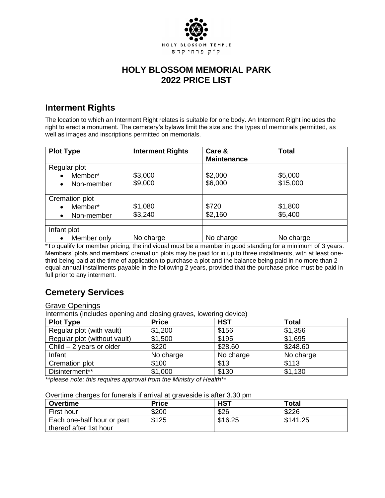

## **HOLY BLOSSOM MEMORIAL PARK 2022 PRICE LIST**

### **Interment Rights**

The location to which an Interment Right relates is suitable for one body. An Interment Right includes the right to erect a monument. The cemetery's bylaws limit the size and the types of memorials permitted, as well as images and inscriptions permitted on memorials.

| <b>Plot Type</b> | <b>Interment Rights</b> | Care &<br><b>Maintenance</b> | <b>Total</b> |
|------------------|-------------------------|------------------------------|--------------|
| Regular plot     |                         |                              |              |
| Member*          | \$3,000                 | \$2,000                      | \$5,000      |
| Non-member<br>٠  | \$9,000                 | \$6,000                      | \$15,000     |
|                  |                         |                              |              |
| Cremation plot   |                         |                              |              |
| Member*          | \$1,080                 | \$720                        | \$1,800      |
| Non-member       | \$3,240                 | \$2,160                      | \$5,400      |
|                  |                         |                              |              |
| Infant plot      |                         |                              |              |
| Member only      | No charge               | No charge                    | No charge    |

\*To qualify for member pricing, the individual must be a member in good standing for a minimum of 3 years. Members' plots and members' cremation plots may be paid for in up to three installments, with at least onethird being paid at the time of application to purchase a plot and the balance being paid in no more than 2 equal annual installments payable in the following 2 years, provided that the purchase price must be paid in full prior to any interment.

# **Cemetery Services**

#### Grave Openings

Interments (includes opening and closing graves, lowering device)

| <b>Plot Type</b>             | --<br><b>Price</b> | <b>HST</b> | <b>Total</b> |
|------------------------------|--------------------|------------|--------------|
| Regular plot (with vault)    | \$1,200            | \$156      | \$1,356      |
| Regular plot (without vault) | \$1,500            | \$195      | \$1,695      |
| Child $-2$ years or older    | \$220              | \$28.60    | \$248.60     |
| Infant                       | No charge          | No charge  | No charge    |
| Cremation plot               | \$100              | \$13       | \$113        |
| Disinterment**               | \$1,000            | \$130      | \$1,130      |

*\*\*please note: this requires approval from the Ministry of Health\*\**

#### Overtime charges for funerals if arrival at graveside is after 3.30 pm

| Overtime                   | <b>Price</b> | <b>HST</b> | <b>Total</b> |
|----------------------------|--------------|------------|--------------|
|                            |              |            |              |
| First hour                 | \$200        | \$26       | \$226        |
| Each one-half hour or part | \$125        | \$16.25    | \$141.25     |
| thereof after 1st hour     |              |            |              |